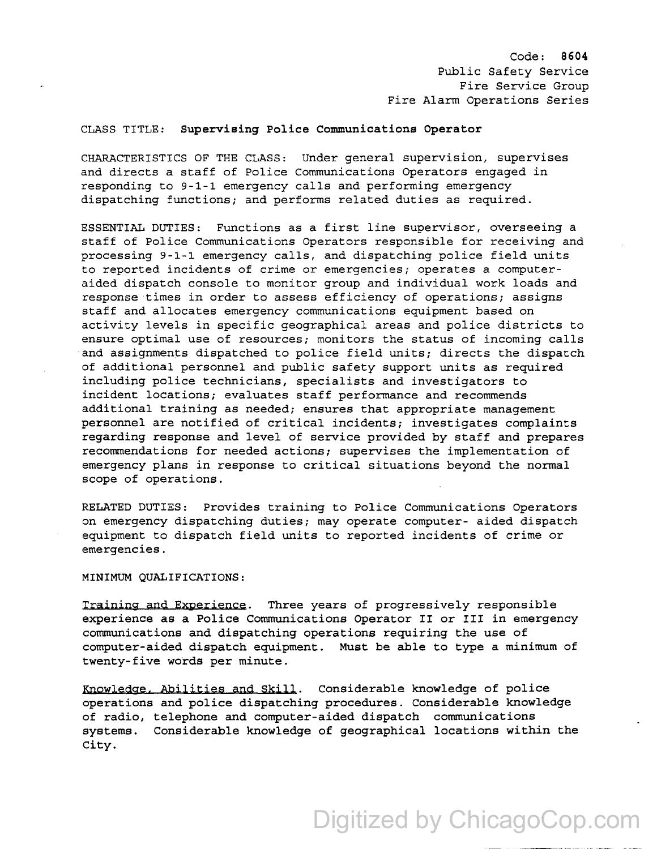Code: 8604 Public Safety Service Fire Service Group Fire Alarm Operations Series

## CLASS TITLE: Supervising Police Communications Operator

CHARACTERISTICS OF THE CLASS: Under general supervision, supervises and directs a staff of Police Communications Operators engaged in responding to 9-1-1 emergency calls and performing emergency dispatching functions; and performs related duties as required.

ESSENTIAL DUTIES: Functions as a first line supervisor, overseeing a staff of Police Communications Operators responsible for receiving and processing 9-1-1 emergency calls, and dispatching police field units to reported incidents of crime or emergencies; operates a computeraided dispatch console to monitor group and individual work loads and response times in order to assess efficiency of operations; assigns staff and allocates emergency communications equipment based on activity levels in specific geographical areas and police districts to ensure optimal use of resources; monitors the status of incoming calls and assignments dispatched to police field units; directs the dispatch of additional personnel and public safety support units as required including police technicians, specialists and investigators to incident locations; evaluates staff performance and recommends additional training as needed; ensures that appropriate management personnel are notified of critical incidents; investigates complaints regarding response and level of service provided by staff and prepares recommendations for needed actions; supervises the implementation of emergency plans in response to critical situations beyond the normal scope of operations.

RELATED DUTIES: Provides training to Police Communications Operators on emergency dispatching duties; may operate computer- aided dispatch equipment to dispatch field units to reported incidents of crime or emergencies.

MINIMUM QUALIFICATIONS:

Training and Experience. Three years of progressively responsible experience as a Police Communications Operator II or III in emergency communications and dispatching operations requiring the use of computer-aided dispatch equipment. Must be able to type a minimum of twenty-five words per minute.

Knowledge. Abilities and Skill. Considerable knowledge of police operations and police dispatching procedures. Considerable knowledge of radio, telephone and computer-aided dispatch communications systems. Considerable knowledge of geographical locations within the City.